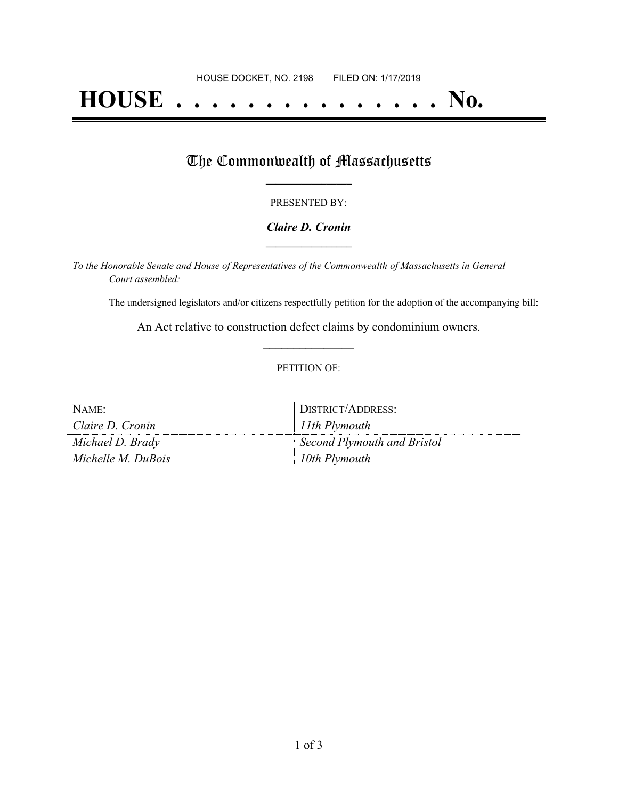# **HOUSE . . . . . . . . . . . . . . . No.**

### The Commonwealth of Massachusetts

#### PRESENTED BY:

#### *Claire D. Cronin* **\_\_\_\_\_\_\_\_\_\_\_\_\_\_\_\_\_**

*To the Honorable Senate and House of Representatives of the Commonwealth of Massachusetts in General Court assembled:*

The undersigned legislators and/or citizens respectfully petition for the adoption of the accompanying bill:

An Act relative to construction defect claims by condominium owners. **\_\_\_\_\_\_\_\_\_\_\_\_\_\_\_**

#### PETITION OF:

| NAME <sup>-</sup>  | DISTRICT/ADDRESS:           |
|--------------------|-----------------------------|
| Claire D. Cronin   | $11$ th Plymouth            |
| Michael D. Brady   | Second Plymouth and Bristol |
| Michelle M. DuBois | 10th Plymouth               |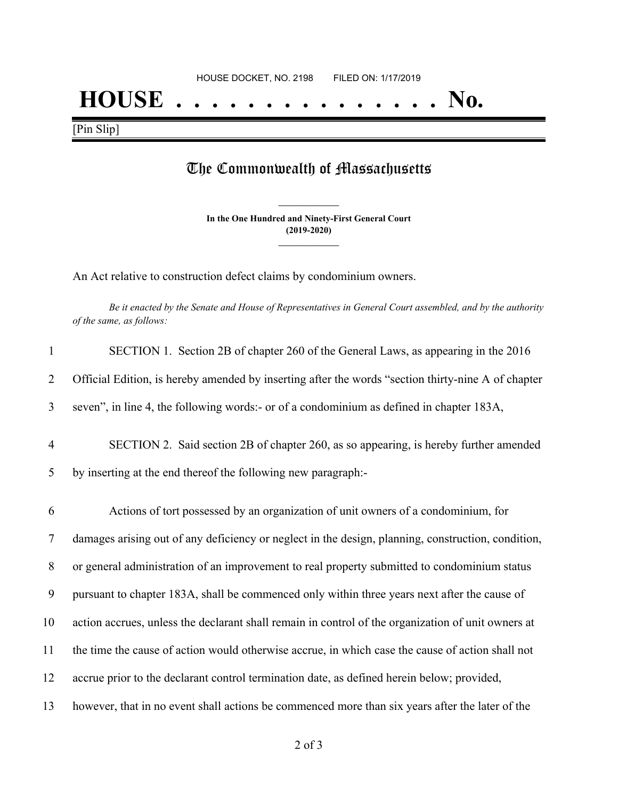## **HOUSE . . . . . . . . . . . . . . . No.**

[Pin Slip]

## The Commonwealth of Massachusetts

**In the One Hundred and Ninety-First General Court (2019-2020) \_\_\_\_\_\_\_\_\_\_\_\_\_\_\_**

**\_\_\_\_\_\_\_\_\_\_\_\_\_\_\_**

An Act relative to construction defect claims by condominium owners.

Be it enacted by the Senate and House of Representatives in General Court assembled, and by the authority *of the same, as follows:*

| $\mathbf{1}$   | SECTION 1. Section 2B of chapter 260 of the General Laws, as appearing in the 2016                 |
|----------------|----------------------------------------------------------------------------------------------------|
| 2              | Official Edition, is hereby amended by inserting after the words "section thirty-nine A of chapter |
| 3              | seven", in line 4, the following words:- or of a condominium as defined in chapter 183A,           |
| $\overline{4}$ | SECTION 2. Said section 2B of chapter 260, as so appearing, is hereby further amended              |
| 5              | by inserting at the end thereof the following new paragraph:-                                      |
| 6              | Actions of tort possessed by an organization of unit owners of a condominium, for                  |
| $\overline{7}$ | damages arising out of any deficiency or neglect in the design, planning, construction, condition, |
| 8              | or general administration of an improvement to real property submitted to condominium status       |
| 9              | pursuant to chapter 183A, shall be commenced only within three years next after the cause of       |
| 10             | action accrues, unless the declarant shall remain in control of the organization of unit owners at |
| 11             | the time the cause of action would otherwise accrue, in which case the cause of action shall not   |
| 12             | accrue prior to the declarant control termination date, as defined herein below; provided,         |
| 13             | however, that in no event shall actions be commenced more than six years after the later of the    |

2 of 3